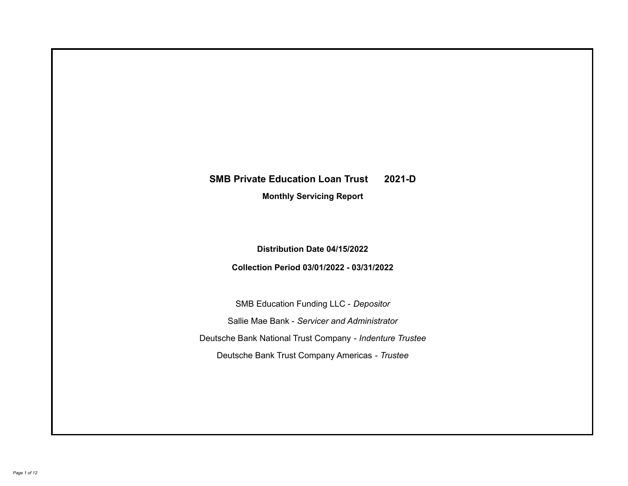# **SMB Private Education Loan Trust 2021-D**

**Monthly Servicing Report**

**Distribution Date 04/15/2022**

**Collection Period 03/01/2022 - 03/31/2022**

SMB Education Funding LLC - *Depositor* Sallie Mae Bank - *Servicer and Administrator* Deutsche Bank National Trust Company - *Indenture Trustee* Deutsche Bank Trust Company Americas - *Trustee*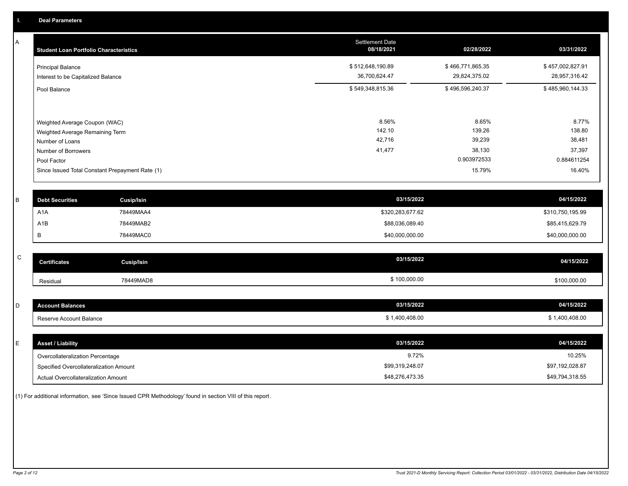A

| <b>Student Loan Portfolio Characteristics</b>                                                                             | <b>Settlement Date</b><br>08/18/2021 | 02/28/2022                                         | 03/31/2022                                         |
|---------------------------------------------------------------------------------------------------------------------------|--------------------------------------|----------------------------------------------------|----------------------------------------------------|
| <b>Principal Balance</b><br>Interest to be Capitalized Balance                                                            | \$512,648,190.89<br>36,700,624.47    | \$466,771,865.35<br>29,824,375.02                  | \$457,002,827.91<br>28,957,316.42                  |
| Pool Balance                                                                                                              | \$549,348,815.36                     | \$496,596,240.37                                   | \$485,960,144.33                                   |
| Weighted Average Coupon (WAC)<br>Weighted Average Remaining Term<br>Number of Loans<br>Number of Borrowers<br>Pool Factor | 8.56%<br>142.10<br>42,716<br>41,477  | 8.65%<br>139.26<br>39,239<br>38,130<br>0.903972533 | 8.77%<br>138.80<br>38,481<br>37,397<br>0.884611254 |
| Since Issued Total Constant Prepayment Rate (1)                                                                           |                                      | 15.79%                                             | 16.40%                                             |

| <b>Debt Securities</b> | Cusip/Isin | 03/15/2022       | 04/15/2022       |
|------------------------|------------|------------------|------------------|
| A <sub>1</sub> A       | 78449MAA4  | \$320,283,677.62 | \$310,750,195.99 |
| A1B                    | 78449MAB2  | \$88,036,089.40  | \$85,415,629.79  |
|                        | 78449MAC0  | \$40,000,000.00  | \$40,000,000.00  |

| $\overline{\phantom{1}}$<br>◡ | <b>Certificates</b> | Cusip/Isin | 03/15/2022   | 04/15/2022   |
|-------------------------------|---------------------|------------|--------------|--------------|
|                               | Residual            | 78449MAD8  | \$100,000.00 | \$100,000.00 |

| count Balances             | 03/15/2022  | 04/15/2022 |
|----------------------------|-------------|------------|
| seserve Account Balance، ا | .400.408.00 | ገ0.408.00  |

| ь. | <b>Asset / Liability</b>               | 03/15/2022      | 04/15/2022      |
|----|----------------------------------------|-----------------|-----------------|
|    | Overcollateralization Percentage       | 9.72%           | 10.25%          |
|    | Specified Overcollateralization Amount | \$99,319,248.07 | \$97,192,028.87 |
|    | Actual Overcollateralization Amount    | \$48,276,473.35 | \$49,794,318.55 |

(1) For additional information, see 'Since Issued CPR Methodology' found in section VIII of this report .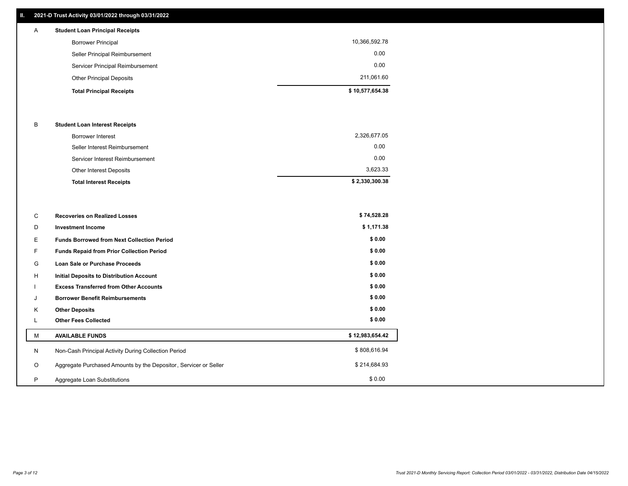# **II. 2021-D Trust Activity 03/01/2022 through 03/31/2022**

| A | <b>Student Loan Principal Receipts</b> |                 |
|---|----------------------------------------|-----------------|
|   | <b>Borrower Principal</b>              | 10,366,592.78   |
|   | Seller Principal Reimbursement         | 0.00            |
|   | Servicer Principal Reimbursement       | 0.00            |
|   | <b>Other Principal Deposits</b>        | 211,061.60      |
|   | <b>Total Principal Receipts</b>        | \$10,577,654.38 |

### B **Student Loan Interest Receipts**

| <b>Total Interest Receipts</b>  | \$2,330,300.38 |
|---------------------------------|----------------|
| Other Interest Deposits         | 3,623.33       |
| Servicer Interest Reimbursement | 0.00           |
| Seller Interest Reimbursement   | 0.00           |
| Borrower Interest               | 2,326,677.05   |

| C       | <b>Recoveries on Realized Losses</b>                             | \$74,528.28     |
|---------|------------------------------------------------------------------|-----------------|
| D       | <b>Investment Income</b>                                         | \$1,171.38      |
| Ε.      | <b>Funds Borrowed from Next Collection Period</b>                | \$0.00          |
| F       | Funds Repaid from Prior Collection Period                        | \$0.00          |
| G       | Loan Sale or Purchase Proceeds                                   | \$0.00          |
| H       | Initial Deposits to Distribution Account                         | \$0.00          |
|         | <b>Excess Transferred from Other Accounts</b>                    | \$0.00          |
| J       | <b>Borrower Benefit Reimbursements</b>                           | \$0.00          |
| K       | <b>Other Deposits</b>                                            | \$0.00          |
| L.      | <b>Other Fees Collected</b>                                      | \$0.00          |
| М       | <b>AVAILABLE FUNDS</b>                                           | \$12,983,654.42 |
| N       | Non-Cash Principal Activity During Collection Period             | \$808,616.94    |
| $\circ$ | Aggregate Purchased Amounts by the Depositor, Servicer or Seller | \$214,684.93    |
| P       | Aggregate Loan Substitutions                                     | \$0.00          |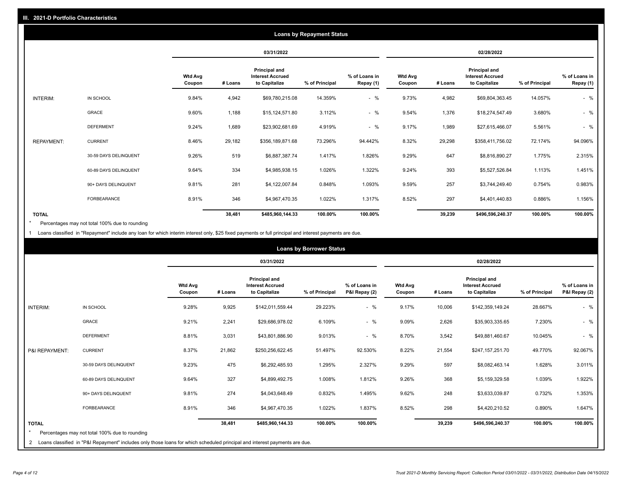|                   | <b>Loans by Repayment Status</b> |                          |            |                                                           |                |                            |                          |            |                                                           |                |                            |
|-------------------|----------------------------------|--------------------------|------------|-----------------------------------------------------------|----------------|----------------------------|--------------------------|------------|-----------------------------------------------------------|----------------|----------------------------|
|                   |                                  |                          | 03/31/2022 |                                                           |                |                            |                          | 02/28/2022 |                                                           |                |                            |
|                   |                                  | <b>Wtd Avg</b><br>Coupon | # Loans    | Principal and<br><b>Interest Accrued</b><br>to Capitalize | % of Principal | % of Loans in<br>Repay (1) | <b>Wtd Avg</b><br>Coupon | # Loans    | Principal and<br><b>Interest Accrued</b><br>to Capitalize | % of Principal | % of Loans in<br>Repay (1) |
| INTERIM:          | IN SCHOOL                        | 9.84%                    | 4,942      | \$69,780,215.08                                           | 14.359%        | $-$ %                      | 9.73%                    | 4,982      | \$69,804,363.45                                           | 14.057%        | $-$ %                      |
|                   | GRACE                            | 9.60%                    | 1,188      | \$15,124,571.80                                           | 3.112%         | $-$ %                      | 9.54%                    | 1,376      | \$18,274,547.49                                           | 3.680%         | $-$ %                      |
|                   | <b>DEFERMENT</b>                 | 9.24%                    | 1,689      | \$23,902,681.69                                           | 4.919%         | $-$ %                      | 9.17%                    | 1,989      | \$27,615,466.07                                           | 5.561%         | $-$ %                      |
| <b>REPAYMENT:</b> | <b>CURRENT</b>                   | 8.46%                    | 29,182     | \$356,189,871.68                                          | 73.296%        | 94.442%                    | 8.32%                    | 29,298     | \$358,411,756.02                                          | 72.174%        | 94.096%                    |
|                   | 30-59 DAYS DELINQUENT            | 9.26%                    | 519        | \$6,887,387.74                                            | 1.417%         | 1.826%                     | 9.29%                    | 647        | \$8,816,890.27                                            | 1.775%         | 2.315%                     |
|                   | 60-89 DAYS DELINQUENT            | 9.64%                    | 334        | \$4,985,938.15                                            | 1.026%         | 1.322%                     | 9.24%                    | 393        | \$5,527,526.84                                            | 1.113%         | 1.451%                     |
|                   | 90+ DAYS DELINQUENT              | 9.81%                    | 281        | \$4,122,007.84                                            | 0.848%         | 1.093%                     | 9.59%                    | 257        | \$3,744,249.40                                            | 0.754%         | 0.983%                     |
|                   | FORBEARANCE                      | 8.91%                    | 346        | \$4,967,470.35                                            | 1.022%         | 1.317%                     | 8.52%                    | 297        | \$4,401,440.83                                            | 0.886%         | 1.156%                     |
| <b>TOTAL</b>      |                                  |                          | 38,481     | \$485,960,144.33                                          | 100.00%        | 100.00%                    |                          | 39,239     | \$496,596,240.37                                          | 100.00%        | 100.00%                    |

Percentages may not total 100% due to rounding \*

1 Loans classified in "Repayment" include any loan for which interim interest only, \$25 fixed payments or full principal and interest payments are due.

|                                                                                                                                                                                                |                          | 03/31/2022 |                                                                  |                |                                |                          | 02/28/2022 |                                                           |                |                                |
|------------------------------------------------------------------------------------------------------------------------------------------------------------------------------------------------|--------------------------|------------|------------------------------------------------------------------|----------------|--------------------------------|--------------------------|------------|-----------------------------------------------------------|----------------|--------------------------------|
|                                                                                                                                                                                                | <b>Wtd Avg</b><br>Coupon | # Loans    | <b>Principal and</b><br><b>Interest Accrued</b><br>to Capitalize | % of Principal | % of Loans in<br>P&I Repay (2) | <b>Wtd Avg</b><br>Coupon | # Loans    | Principal and<br><b>Interest Accrued</b><br>to Capitalize | % of Principal | % of Loans in<br>P&I Repay (2) |
| IN SCHOOL<br><b>INTERIM:</b>                                                                                                                                                                   | 9.28%                    | 9,925      | \$142,011,559.44                                                 | 29.223%        | $-$ %                          | 9.17%                    | 10,006     | \$142,359,149.24                                          | 28.667%        | $-$ %                          |
| <b>GRACE</b>                                                                                                                                                                                   | 9.21%                    | 2,241      | \$29,686,978.02                                                  | 6.109%         | $-$ %                          | 9.09%                    | 2,626      | \$35,903,335.65                                           | 7.230%         | $-$ %                          |
| <b>DEFERMENT</b>                                                                                                                                                                               | 8.81%                    | 3,031      | \$43,801,886.90                                                  | 9.013%         | $-$ %                          | 8.70%                    | 3,542      | \$49,881,460.67                                           | 10.045%        | $-$ %                          |
| <b>CURRENT</b><br>P&I REPAYMENT:                                                                                                                                                               | 8.37%                    | 21,862     | \$250,256,622.45                                                 | 51.497%        | 92.530%                        | 8.22%                    | 21,554     | \$247,157,251.70                                          | 49.770%        | 92.067%                        |
| 30-59 DAYS DELINQUENT                                                                                                                                                                          | 9.23%                    | 475        | \$6,292,485.93                                                   | 1.295%         | 2.327%                         | 9.29%                    | 597        | \$8,082,463.14                                            | 1.628%         | 3.011%                         |
| 60-89 DAYS DELINQUENT                                                                                                                                                                          | 9.64%                    | 327        | \$4,899,492.75                                                   | 1.008%         | 1.812%                         | 9.26%                    | 368        | \$5,159,329.58                                            | 1.039%         | 1.922%                         |
| 90+ DAYS DELINQUENT                                                                                                                                                                            | 9.81%                    | 274        | \$4,043,648.49                                                   | 0.832%         | 1.495%                         | 9.62%                    | 248        | \$3,633,039.87                                            | 0.732%         | 1.353%                         |
| <b>FORBEARANCE</b>                                                                                                                                                                             | 8.91%                    | 346        | \$4,967,470.35                                                   | 1.022%         | 1.837%                         | 8.52%                    | 298        | \$4,420,210.52                                            | 0.890%         | 1.647%                         |
| <b>TOTAL</b><br>Percentages may not total 100% due to rounding<br>2 Loans classified in "P&I Repayment" includes only those loans for which scheduled principal and interest payments are due. |                          | 38,481     | \$485,960,144.33                                                 | 100.00%        | 100.00%                        |                          | 39,239     | \$496,596,240.37                                          | 100.00%        | 100.00%                        |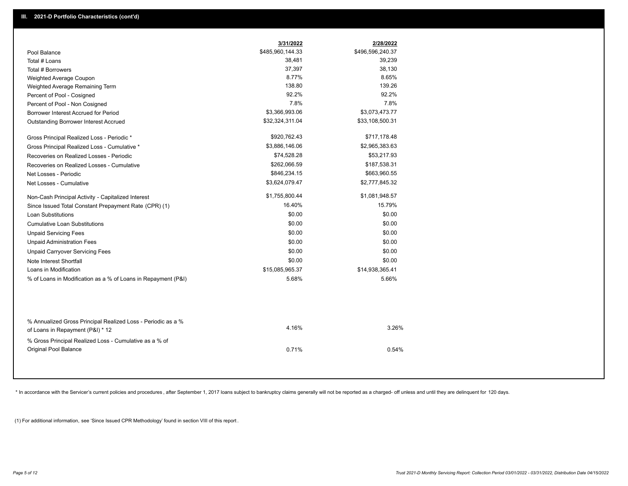|                                                                                                  | 3/31/2022        | 2/28/2022        |
|--------------------------------------------------------------------------------------------------|------------------|------------------|
| Pool Balance                                                                                     | \$485,960,144.33 | \$496,596,240.37 |
| Total # Loans                                                                                    | 38,481           | 39,239           |
| Total # Borrowers                                                                                | 37,397           | 38,130           |
| Weighted Average Coupon                                                                          | 8.77%            | 8.65%            |
| Weighted Average Remaining Term                                                                  | 138.80           | 139.26           |
| Percent of Pool - Cosigned                                                                       | 92.2%            | 92.2%            |
| Percent of Pool - Non Cosigned                                                                   | 7.8%             | 7.8%             |
| Borrower Interest Accrued for Period                                                             | \$3,366,993.06   | \$3,073,473.77   |
| Outstanding Borrower Interest Accrued                                                            | \$32,324,311.04  | \$33,108,500.31  |
| Gross Principal Realized Loss - Periodic *                                                       | \$920,762.43     | \$717,178.48     |
| Gross Principal Realized Loss - Cumulative *                                                     | \$3,886,146.06   | \$2,965,383.63   |
| Recoveries on Realized Losses - Periodic                                                         | \$74,528.28      | \$53,217.93      |
| Recoveries on Realized Losses - Cumulative                                                       | \$262,066.59     | \$187,538.31     |
| Net Losses - Periodic                                                                            | \$846,234.15     | \$663,960.55     |
| Net Losses - Cumulative                                                                          | \$3,624,079.47   | \$2,777,845.32   |
| Non-Cash Principal Activity - Capitalized Interest                                               | \$1,755,800.44   | \$1,081,948.57   |
| Since Issued Total Constant Prepayment Rate (CPR) (1)                                            | 16.40%           | 15.79%           |
| <b>Loan Substitutions</b>                                                                        | \$0.00           | \$0.00           |
| <b>Cumulative Loan Substitutions</b>                                                             | \$0.00           | \$0.00           |
| <b>Unpaid Servicing Fees</b>                                                                     | \$0.00           | \$0.00           |
| <b>Unpaid Administration Fees</b>                                                                | \$0.00           | \$0.00           |
| <b>Unpaid Carryover Servicing Fees</b>                                                           | \$0.00           | \$0.00           |
| Note Interest Shortfall                                                                          | \$0.00           | \$0.00           |
| Loans in Modification                                                                            | \$15,085,965.37  | \$14,938,365.41  |
| % of Loans in Modification as a % of Loans in Repayment (P&I)                                    | 5.68%            | 5.66%            |
|                                                                                                  |                  |                  |
| % Annualized Gross Principal Realized Loss - Periodic as a %<br>of Loans in Repayment (P&I) * 12 | 4.16%            | 3.26%            |
| % Gross Principal Realized Loss - Cumulative as a % of                                           |                  |                  |
| Original Pool Balance                                                                            | 0.71%            | 0.54%            |

\* In accordance with the Servicer's current policies and procedures, after September 1, 2017 loans subject to bankruptcy claims generally will not be reported as a charged- off unless and until they are delinquent for 120

(1) For additional information, see 'Since Issued CPR Methodology' found in section VIII of this report .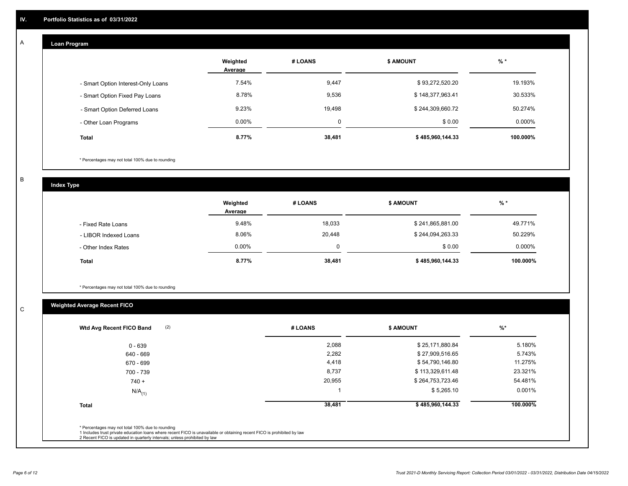#### **Loan Program**  A

|                                    | Weighted<br>Average | # LOANS  | <b>\$ AMOUNT</b> | $%$ *    |
|------------------------------------|---------------------|----------|------------------|----------|
| - Smart Option Interest-Only Loans | 7.54%               | 9,447    | \$93,272,520.20  | 19.193%  |
| - Smart Option Fixed Pay Loans     | 8.78%               | 9,536    | \$148,377,963.41 | 30.533%  |
| - Smart Option Deferred Loans      | 9.23%               | 19,498   | \$244,309,660.72 | 50.274%  |
| - Other Loan Programs              | $0.00\%$            | $\Omega$ | \$0.00           | 0.000%   |
| <b>Total</b>                       | 8.77%               | 38,481   | \$485,960,144.33 | 100.000% |

\* Percentages may not total 100% due to rounding

B

C

**Index Type**

|                       | Weighted<br>Average | # LOANS | <b>\$ AMOUNT</b> | % *       |
|-----------------------|---------------------|---------|------------------|-----------|
| - Fixed Rate Loans    | 9.48%               | 18,033  | \$241,865,881.00 | 49.771%   |
| - LIBOR Indexed Loans | 8.06%               | 20,448  | \$244,094,263.33 | 50.229%   |
| - Other Index Rates   | $0.00\%$            |         | \$0.00           | $0.000\%$ |
| <b>Total</b>          | 8.77%               | 38,481  | \$485,960,144.33 | 100.000%  |

\* Percentages may not total 100% due to rounding

# **Weighted Average Recent FICO**

| 2,088<br>2,282<br>4,418 | \$25,171,880.84<br>\$27,909,516.65 | 5.180%<br>5.743% |
|-------------------------|------------------------------------|------------------|
|                         |                                    |                  |
|                         |                                    |                  |
|                         | \$54,790,146.80                    | 11.275%          |
| 8,737                   | \$113,329,611.48                   | 23.321%          |
| 20,955                  | \$264,753,723.46                   | 54.481%          |
|                         | \$5,265.10                         | 0.001%           |
| 38,481                  | \$485,960,144.33                   | 100.000%         |
|                         |                                    |                  |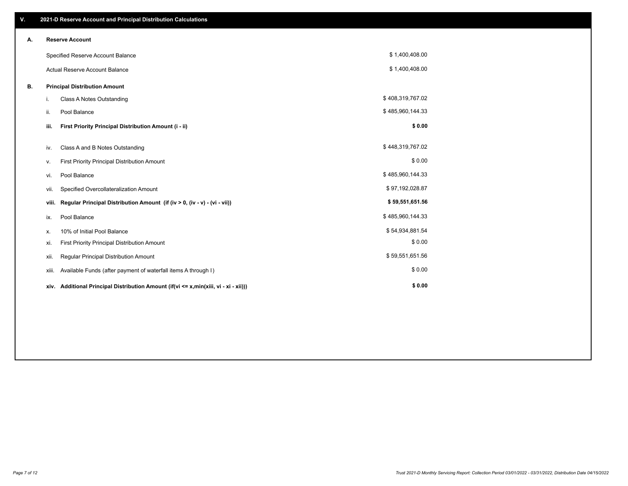| V. |       | 2021-D Reserve Account and Principal Distribution Calculations                  |                  |  |
|----|-------|---------------------------------------------------------------------------------|------------------|--|
| А. |       | <b>Reserve Account</b>                                                          |                  |  |
|    |       | Specified Reserve Account Balance                                               | \$1,400,408.00   |  |
|    |       | <b>Actual Reserve Account Balance</b>                                           | \$1,400,408.00   |  |
| В. |       | <b>Principal Distribution Amount</b>                                            |                  |  |
|    | i.    | Class A Notes Outstanding                                                       | \$408,319,767.02 |  |
|    | ii.   | Pool Balance                                                                    | \$485,960,144.33 |  |
|    | iii.  | First Priority Principal Distribution Amount (i - ii)                           | \$0.00           |  |
|    | iv.   | Class A and B Notes Outstanding                                                 | \$448,319,767.02 |  |
|    | ۷.    | First Priority Principal Distribution Amount                                    | \$0.00           |  |
|    | vi.   | Pool Balance                                                                    | \$485,960,144.33 |  |
|    | vii.  | Specified Overcollateralization Amount                                          | \$97,192,028.87  |  |
|    | viii. | Regular Principal Distribution Amount (if (iv > 0, (iv - v) - (vi - vii))       | \$59,551,651.56  |  |
|    | ix.   | Pool Balance                                                                    | \$485,960,144.33 |  |
|    | х.    | 10% of Initial Pool Balance                                                     | \$54,934,881.54  |  |
|    | xi.   | First Priority Principal Distribution Amount                                    | \$0.00           |  |
|    | xii.  | Regular Principal Distribution Amount                                           | \$59,551,651.56  |  |
|    | xiii. | Available Funds (after payment of waterfall items A through I)                  | \$0.00           |  |
|    | xiv.  | Additional Principal Distribution Amount (if(vi <= x,min(xiii, vi - xi - xii))) | \$0.00           |  |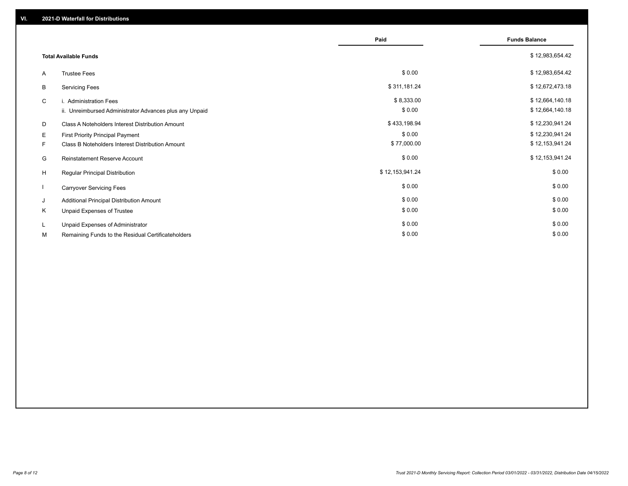|    |                                                         | Paid            | <b>Funds Balance</b> |
|----|---------------------------------------------------------|-----------------|----------------------|
|    | <b>Total Available Funds</b>                            |                 | \$12,983,654.42      |
| A  | <b>Trustee Fees</b>                                     | \$0.00          | \$12,983,654.42      |
| B  | <b>Servicing Fees</b>                                   | \$311,181.24    | \$12,672,473.18      |
| C  | i. Administration Fees                                  | \$8,333.00      | \$12,664,140.18      |
|    | ii. Unreimbursed Administrator Advances plus any Unpaid | \$0.00          | \$12,664,140.18      |
| D  | Class A Noteholders Interest Distribution Amount        | \$433,198.94    | \$12,230,941.24      |
| Е  | First Priority Principal Payment                        | \$0.00          | \$12,230,941.24      |
| F. | Class B Noteholders Interest Distribution Amount        | \$77,000.00     | \$12,153,941.24      |
| G  | <b>Reinstatement Reserve Account</b>                    | \$0.00          | \$12,153,941.24      |
| H  | Regular Principal Distribution                          | \$12,153,941.24 | \$0.00               |
|    | <b>Carryover Servicing Fees</b>                         | \$0.00          | \$0.00               |
| J  | Additional Principal Distribution Amount                | \$0.00          | \$0.00               |
| Κ  | Unpaid Expenses of Trustee                              | \$0.00          | \$0.00               |
| L  | Unpaid Expenses of Administrator                        | \$0.00          | \$0.00               |
| М  | Remaining Funds to the Residual Certificateholders      | \$0.00          | \$0.00               |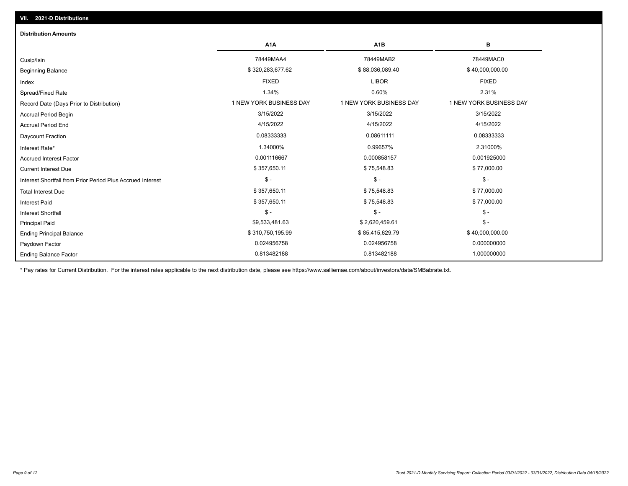| <b>Distribution Amounts</b>                                |                         |                         |                         |
|------------------------------------------------------------|-------------------------|-------------------------|-------------------------|
|                                                            | A <sub>1</sub> A        | A <sub>1</sub> B        | в                       |
| Cusip/Isin                                                 | 78449MAA4               | 78449MAB2               | 78449MAC0               |
| <b>Beginning Balance</b>                                   | \$320,283,677.62        | \$88,036,089.40         | \$40,000,000.00         |
| Index                                                      | <b>FIXED</b>            | <b>LIBOR</b>            | <b>FIXED</b>            |
| Spread/Fixed Rate                                          | 1.34%                   | 0.60%                   | 2.31%                   |
| Record Date (Days Prior to Distribution)                   | 1 NEW YORK BUSINESS DAY | 1 NEW YORK BUSINESS DAY | 1 NEW YORK BUSINESS DAY |
| <b>Accrual Period Begin</b>                                | 3/15/2022               | 3/15/2022               | 3/15/2022               |
| <b>Accrual Period End</b>                                  | 4/15/2022               | 4/15/2022               | 4/15/2022               |
| Daycount Fraction                                          | 0.08333333              | 0.08611111              | 0.08333333              |
| Interest Rate*                                             | 1.34000%                | 0.99657%                | 2.31000%                |
| <b>Accrued Interest Factor</b>                             | 0.001116667             | 0.000858157             | 0.001925000             |
| <b>Current Interest Due</b>                                | \$357,650.11            | \$75,548.83             | \$77,000.00             |
| Interest Shortfall from Prior Period Plus Accrued Interest | $\mathsf{\$}$ -         | $\mathcal{S}$ -         | $\mathsf{\$}$ -         |
| <b>Total Interest Due</b>                                  | \$357,650.11            | \$75,548.83             | \$77,000.00             |
| <b>Interest Paid</b>                                       | \$357,650.11            | \$75,548.83             | \$77,000.00             |
| <b>Interest Shortfall</b>                                  | $\frac{2}{3}$ -         | $$ -$                   | $$ -$                   |
| <b>Principal Paid</b>                                      | \$9,533,481.63          | \$2,620,459.61          | $$ -$                   |
| <b>Ending Principal Balance</b>                            | \$310,750,195.99        | \$85,415,629.79         | \$40,000,000.00         |
| Paydown Factor                                             | 0.024956758             | 0.024956758             | 0.000000000             |
| <b>Ending Balance Factor</b>                               | 0.813482188             | 0.813482188             | 1.000000000             |

\* Pay rates for Current Distribution. For the interest rates applicable to the next distribution date, please see https://www.salliemae.com/about/investors/data/SMBabrate.txt.

**VII. 2021-D Distributions**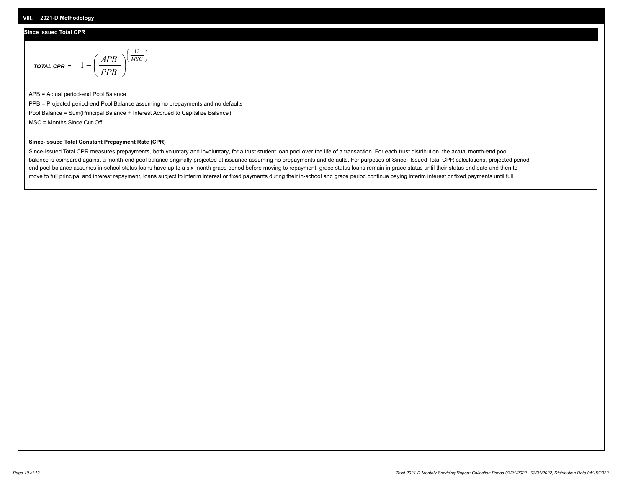# **Since Issued Total CPR**

$$
\text{total cPR} = 1 - \left(\frac{APB}{PPB}\right)^{\left(\frac{12}{MSC}\right)}
$$

APB = Actual period-end Pool Balance PPB = Projected period-end Pool Balance assuming no prepayments and no defaults Pool Balance = Sum(Principal Balance + Interest Accrued to Capitalize Balance) MSC = Months Since Cut-Off

I J Ι

### **Since-Issued Total Constant Prepayment Rate (CPR)**

Since-Issued Total CPR measures prepayments, both voluntary and involuntary, for a trust student loan pool over the life of a transaction. For each trust distribution, the actual month-end pool balance is compared against a month-end pool balance originally projected at issuance assuming no prepayments and defaults. For purposes of Since- Issued Total CPR calculations, projected period end pool balance assumes in-school status loans have up to a six month grace period before moving to repayment, grace status loans remain in grace status until their status end date and then to move to full principal and interest repayment, loans subject to interim interest or fixed payments during their in-school and grace period continue paying interim interest or fixed payments until full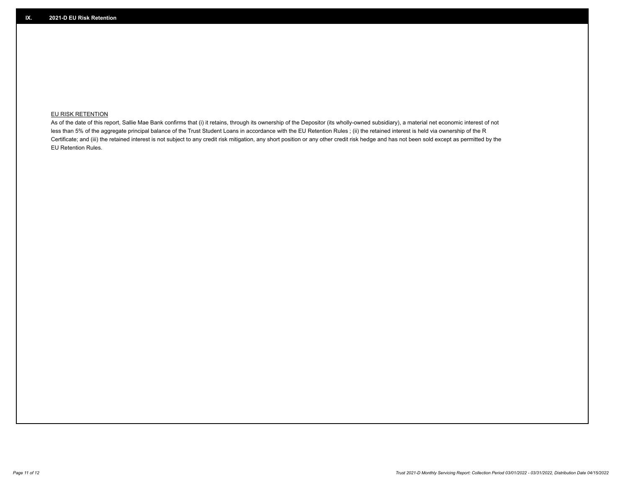# **EU RISK RETENTION**

As of the date of this report, Sallie Mae Bank confirms that (i) it retains, through its ownership of the Depositor (its wholly-owned subsidiary), a material net economic interest of not less than 5% of the aggregate principal balance of the Trust Student Loans in accordance with the EU Retention Rules ; (ii) the retained interest is held via ownership of the R Certificate; and (iii) the retained interest is not subject to any credit risk mitigation, any short position or any other credit risk hedge and has not been sold except as permitted by the EU Retention Rules.